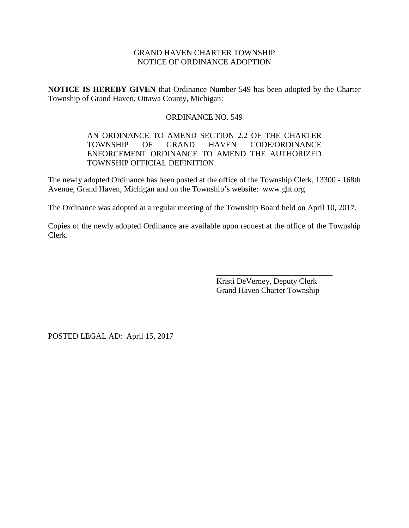# GRAND HAVEN CHARTER TOWNSHIP NOTICE OF ORDINANCE ADOPTION

**NOTICE IS HEREBY GIVEN** that Ordinance Number 549 has been adopted by the Charter Township of Grand Haven, Ottawa County, Michigan:

#### ORDINANCE NO. 549

# AN ORDINANCE TO AMEND SECTION 2.2 OF THE CHARTER TOWNSHIP OF GRAND HAVEN CODE/ORDINANCE ENFORCEMENT ORDINANCE TO AMEND THE AUTHORIZED TOWNSHIP OFFICIAL DEFINITION.

The newly adopted Ordinance has been posted at the office of the Township Clerk, 13300 - 168th Avenue, Grand Haven, Michigan and on the Township's website: www.ght.org

The Ordinance was adopted at a regular meeting of the Township Board held on April 10, 2017.

Copies of the newly adopted Ordinance are available upon request at the office of the Township Clerk.

> Kristi DeVerney, Deputy Clerk Grand Haven Charter Township

\_\_\_\_\_\_\_\_\_\_\_\_\_\_\_\_\_\_\_\_\_\_\_\_\_\_\_\_\_

POSTED LEGAL AD: April 15, 2017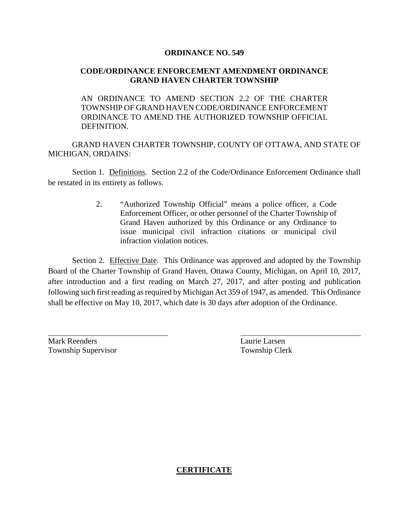#### **ORDINANCE NO. 549**

# **CODE/ORDINANCE ENFORCEMENT AMENDMENT ORDINANCE GRAND HAVEN CHARTER TOWNSHIP**

AN ORDINANCE TO AMEND SECTION 2.2 OF THE CHARTER TOWNSHIP OF GRAND HAVEN CODE/ORDINANCE ENFORCEMENT ORDINANCE TO AMEND THE AUTHORIZED TOWNSHIP OFFICIAL DEFINITION.

# GRAND HAVEN CHARTER TOWNSHIP, COUNTY OF OTTAWA, AND STATE OF MICHIGAN, ORDAINS:

Section 1. Definitions. Section 2.2 of the Code/Ordinance Enforcement Ordinance shall be restated in its entirety as follows.

> 2. "Authorized Township Official" means a police officer, a Code Enforcement Officer, or other personnel of the Charter Township of Grand Haven authorized by this Ordinance or any Ordinance to issue municipal civil infraction citations or municipal civil infraction violation notices.

Section 2. Effective Date. This Ordinance was approved and adopted by the Township Board of the Charter Township of Grand Haven, Ottawa County, Michigan, on April 10, 2017, after introduction and a first reading on March 27, 2017, and after posting and publication following such first reading as required by Michigan Act 359 of 1947, as amended. This Ordinance shall be effective on May 10, 2017, which date is 30 days after adoption of the Ordinance.

Mark Reenders Laurie Larsen Township Supervisor Township Clerk

### **CERTIFICATE**